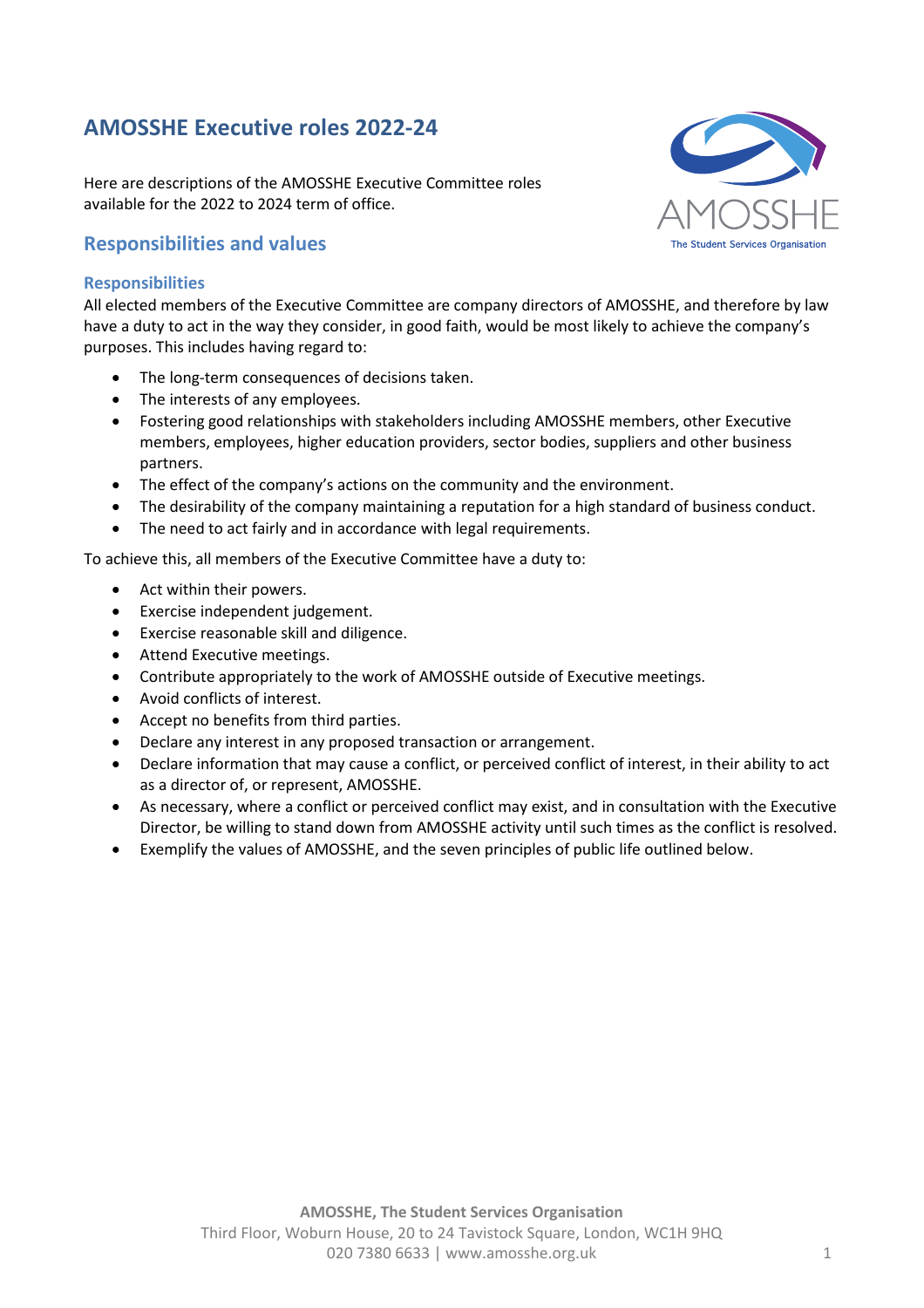# **AMOSSHE Executive roles 2022-24**

Here are descriptions of the AMOSSHE Executive Committee roles available for the 2022 to 2024 term of office.

## **Responsibilities and values**

#### **Responsibilities**

All elected members of the Executive Committee are company directors of AMOSSHE, and therefore by law have a duty to act in the way they consider, in good faith, would be most likely to achieve the company's purposes. This includes having regard to:

- The long-term consequences of decisions taken.
- The interests of any employees.
- Fostering good relationships with stakeholders including AMOSSHE members, other Executive members, employees, higher education providers, sector bodies, suppliers and other business partners.
- The effect of the company's actions on the community and the environment.
- The desirability of the company maintaining a reputation for a high standard of business conduct.
- The need to act fairly and in accordance with legal requirements.

To achieve this, all members of the Executive Committee have a duty to:

- Act within their powers.
- Exercise independent judgement.
- Exercise reasonable skill and diligence.
- Attend Executive meetings.
- Contribute appropriately to the work of AMOSSHE outside of Executive meetings.
- Avoid conflicts of interest.
- Accept no benefits from third parties.
- Declare any interest in any proposed transaction or arrangement.
- Declare information that may cause a conflict, or perceived conflict of interest, in their ability to act as a director of, or represent, AMOSSHE.
- As necessary, where a conflict or perceived conflict may exist, and in consultation with the Executive Director, be willing to stand down from AMOSSHE activity until such times as the conflict is resolved.
- Exemplify the values of AMOSSHE, and the seven principles of public life outlined below.

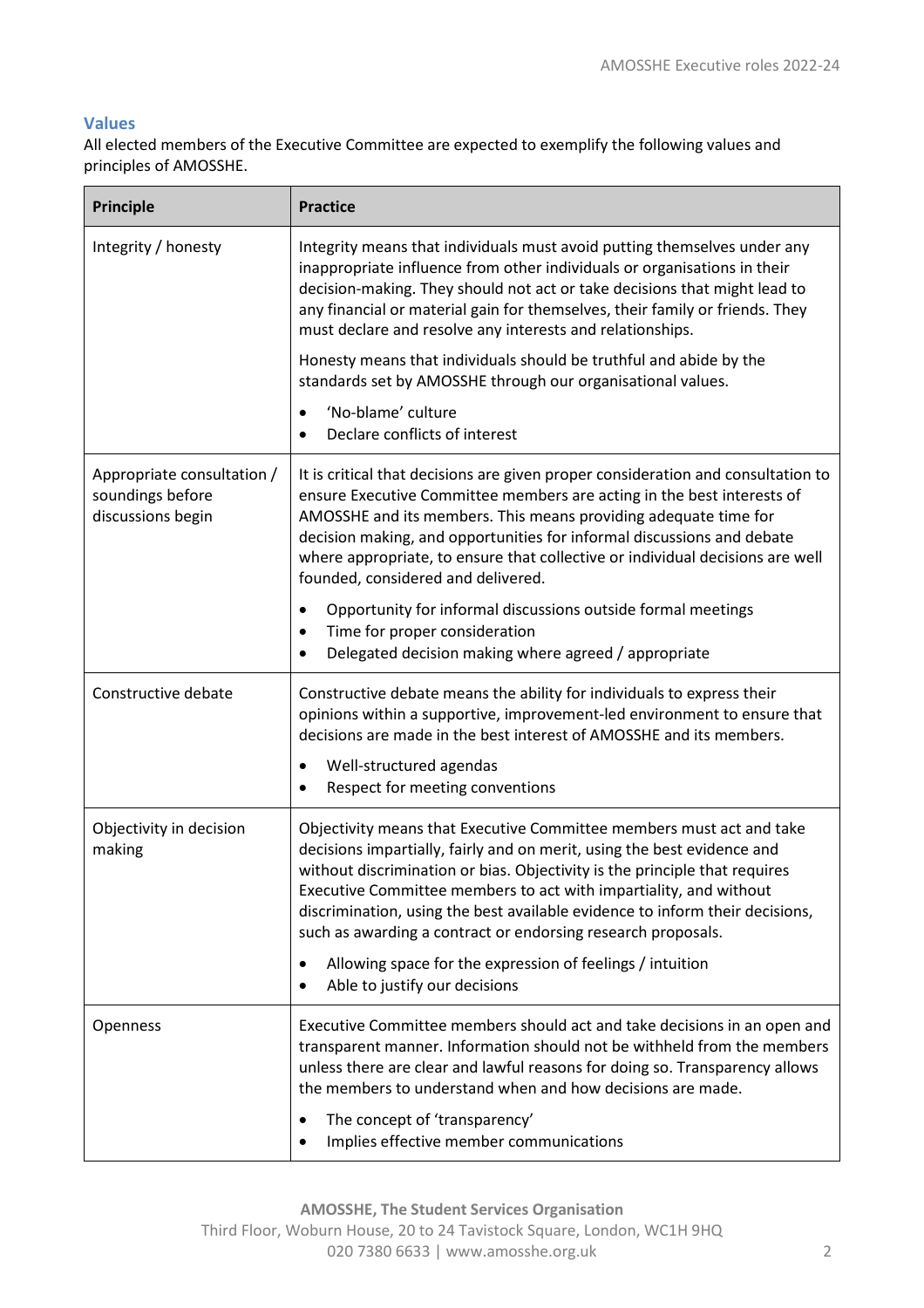#### **Values**

All elected members of the Executive Committee are expected to exemplify the following values and principles of AMOSSHE.

| <b>Principle</b>                                                    | <b>Practice</b>                                                                                                                                                                                                                                                                                                                                                                                                                                                                                                      |
|---------------------------------------------------------------------|----------------------------------------------------------------------------------------------------------------------------------------------------------------------------------------------------------------------------------------------------------------------------------------------------------------------------------------------------------------------------------------------------------------------------------------------------------------------------------------------------------------------|
| Integrity / honesty                                                 | Integrity means that individuals must avoid putting themselves under any<br>inappropriate influence from other individuals or organisations in their<br>decision-making. They should not act or take decisions that might lead to<br>any financial or material gain for themselves, their family or friends. They<br>must declare and resolve any interests and relationships.                                                                                                                                       |
|                                                                     | Honesty means that individuals should be truthful and abide by the<br>standards set by AMOSSHE through our organisational values.                                                                                                                                                                                                                                                                                                                                                                                    |
|                                                                     | 'No-blame' culture<br>$\bullet$<br>Declare conflicts of interest                                                                                                                                                                                                                                                                                                                                                                                                                                                     |
| Appropriate consultation /<br>soundings before<br>discussions begin | It is critical that decisions are given proper consideration and consultation to<br>ensure Executive Committee members are acting in the best interests of<br>AMOSSHE and its members. This means providing adequate time for<br>decision making, and opportunities for informal discussions and debate<br>where appropriate, to ensure that collective or individual decisions are well<br>founded, considered and delivered.                                                                                       |
|                                                                     | Opportunity for informal discussions outside formal meetings<br>$\bullet$<br>Time for proper consideration<br>$\bullet$<br>Delegated decision making where agreed / appropriate                                                                                                                                                                                                                                                                                                                                      |
| Constructive debate                                                 | Constructive debate means the ability for individuals to express their<br>opinions within a supportive, improvement-led environment to ensure that<br>decisions are made in the best interest of AMOSSHE and its members.<br>Well-structured agendas<br>Respect for meeting conventions                                                                                                                                                                                                                              |
| Objectivity in decision<br>making                                   | Objectivity means that Executive Committee members must act and take<br>decisions impartially, fairly and on merit, using the best evidence and<br>without discrimination or bias. Objectivity is the principle that requires<br>Executive Committee members to act with impartiality, and without<br>discrimination, using the best available evidence to inform their decisions,<br>such as awarding a contract or endorsing research proposals.<br>Allowing space for the expression of feelings / intuition<br>٠ |
|                                                                     | Able to justify our decisions<br>$\bullet$                                                                                                                                                                                                                                                                                                                                                                                                                                                                           |
| Openness                                                            | Executive Committee members should act and take decisions in an open and<br>transparent manner. Information should not be withheld from the members<br>unless there are clear and lawful reasons for doing so. Transparency allows<br>the members to understand when and how decisions are made.                                                                                                                                                                                                                     |
|                                                                     | The concept of 'transparency'<br>٠<br>Implies effective member communications                                                                                                                                                                                                                                                                                                                                                                                                                                        |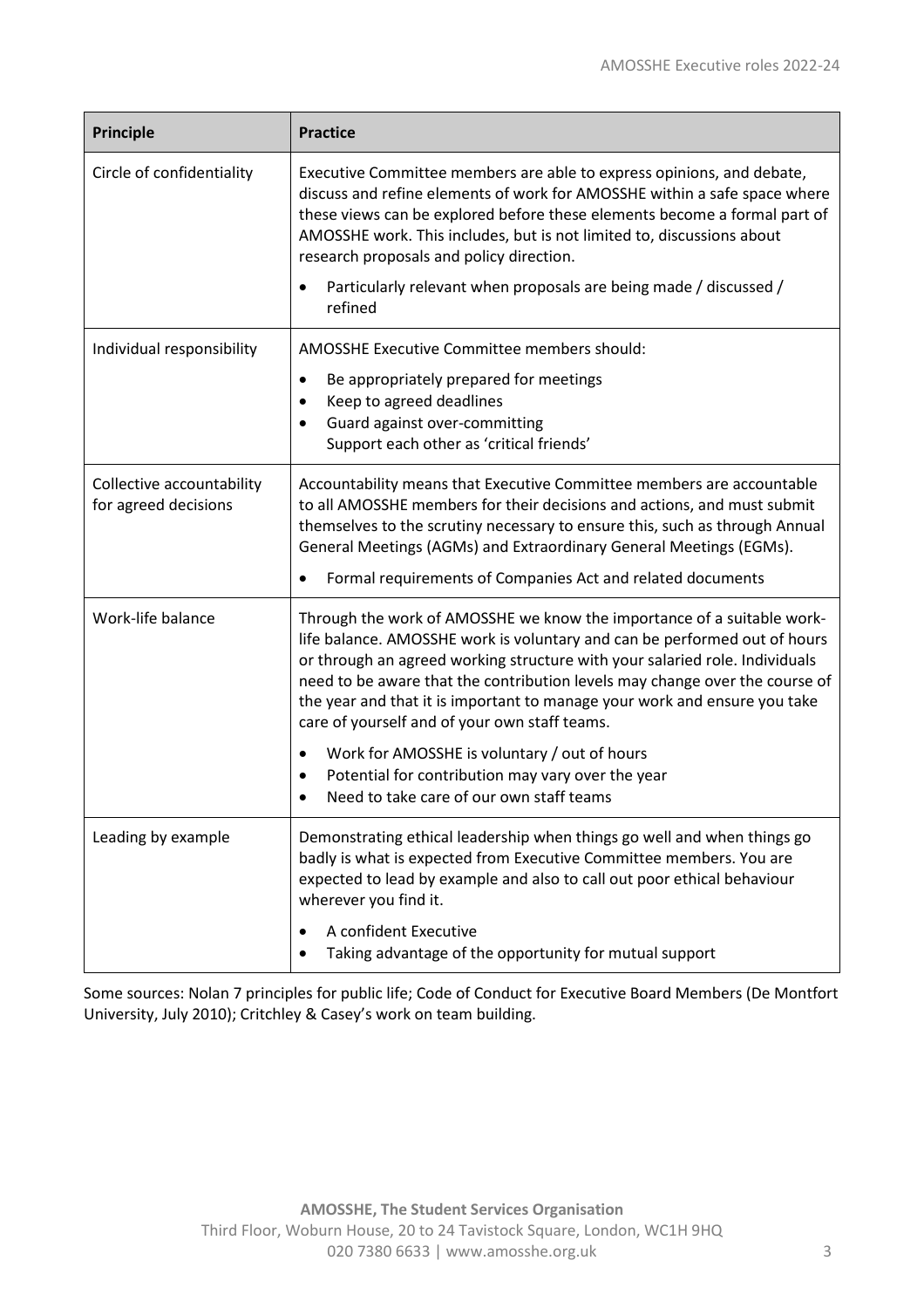| <b>Principle</b>                                  | <b>Practice</b>                                                                                                                                                                                                                                                                                                                                                                                                                                 |
|---------------------------------------------------|-------------------------------------------------------------------------------------------------------------------------------------------------------------------------------------------------------------------------------------------------------------------------------------------------------------------------------------------------------------------------------------------------------------------------------------------------|
| Circle of confidentiality                         | Executive Committee members are able to express opinions, and debate,<br>discuss and refine elements of work for AMOSSHE within a safe space where<br>these views can be explored before these elements become a formal part of<br>AMOSSHE work. This includes, but is not limited to, discussions about<br>research proposals and policy direction.                                                                                            |
|                                                   | Particularly relevant when proposals are being made / discussed /<br>refined                                                                                                                                                                                                                                                                                                                                                                    |
| Individual responsibility                         | AMOSSHE Executive Committee members should:                                                                                                                                                                                                                                                                                                                                                                                                     |
|                                                   | Be appropriately prepared for meetings<br>٠                                                                                                                                                                                                                                                                                                                                                                                                     |
|                                                   | Keep to agreed deadlines<br>$\bullet$<br>Guard against over-committing                                                                                                                                                                                                                                                                                                                                                                          |
|                                                   | Support each other as 'critical friends'                                                                                                                                                                                                                                                                                                                                                                                                        |
| Collective accountability<br>for agreed decisions | Accountability means that Executive Committee members are accountable<br>to all AMOSSHE members for their decisions and actions, and must submit<br>themselves to the scrutiny necessary to ensure this, such as through Annual<br>General Meetings (AGMs) and Extraordinary General Meetings (EGMs).<br>Formal requirements of Companies Act and related documents                                                                             |
|                                                   |                                                                                                                                                                                                                                                                                                                                                                                                                                                 |
| Work-life balance                                 | Through the work of AMOSSHE we know the importance of a suitable work-<br>life balance. AMOSSHE work is voluntary and can be performed out of hours<br>or through an agreed working structure with your salaried role. Individuals<br>need to be aware that the contribution levels may change over the course of<br>the year and that it is important to manage your work and ensure you take<br>care of yourself and of your own staff teams. |
|                                                   | Work for AMOSSHE is voluntary / out of hours<br>٠<br>Potential for contribution may vary over the year<br>$\bullet$<br>Need to take care of our own staff teams<br>$\bullet$                                                                                                                                                                                                                                                                    |
| Leading by example                                | Demonstrating ethical leadership when things go well and when things go<br>badly is what is expected from Executive Committee members. You are<br>expected to lead by example and also to call out poor ethical behaviour<br>wherever you find it.                                                                                                                                                                                              |
|                                                   | A confident Executive<br>Taking advantage of the opportunity for mutual support                                                                                                                                                                                                                                                                                                                                                                 |

Some sources: Nolan 7 principles for public life; Code of Conduct for Executive Board Members (De Montfort University, July 2010); Critchley & Casey's work on team building.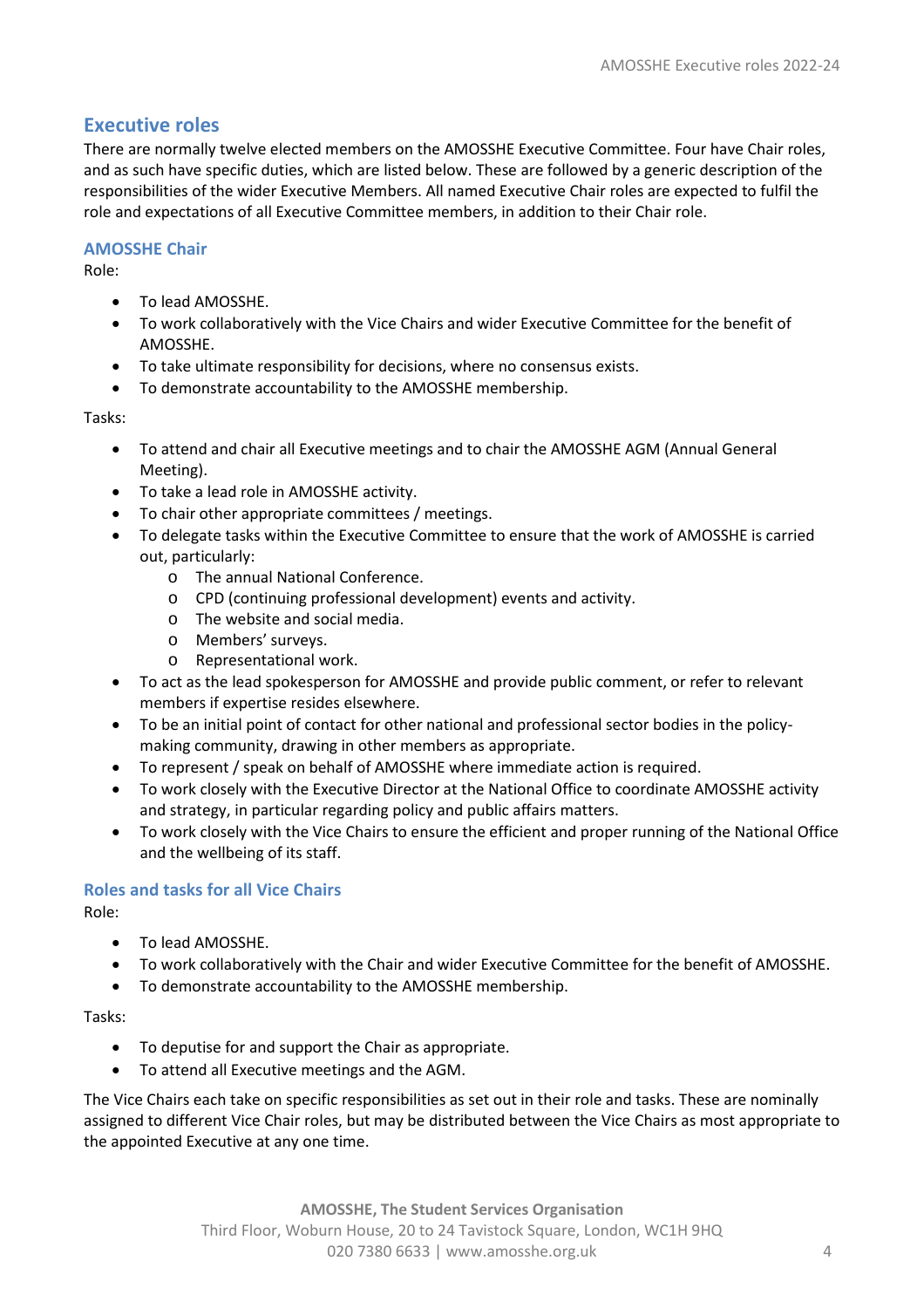# **Executive roles**

There are normally twelve elected members on the AMOSSHE Executive Committee. Four have Chair roles, and as such have specific duties, which are listed below. These are followed by a generic description of the responsibilities of the wider Executive Members. All named Executive Chair roles are expected to fulfil the role and expectations of all Executive Committee members, in addition to their Chair role.

#### **AMOSSHE Chair**

Role:

- To lead AMOSSHE.
- To work collaboratively with the Vice Chairs and wider Executive Committee for the benefit of AMOSSHE.
- To take ultimate responsibility for decisions, where no consensus exists.
- To demonstrate accountability to the AMOSSHE membership.

Tasks:

- To attend and chair all Executive meetings and to chair the AMOSSHE AGM (Annual General Meeting).
- To take a lead role in AMOSSHE activity.
- To chair other appropriate committees / meetings.
- To delegate tasks within the Executive Committee to ensure that the work of AMOSSHE is carried out, particularly:
	- o The annual National Conference.
	- o CPD (continuing professional development) events and activity.
	- o The website and social media.
	-
	- o Members' surveys.<br>
	o Representational w Representational work.
- To act as the lead spokesperson for AMOSSHE and provide public comment, or refer to relevant members if expertise resides elsewhere.
- To be an initial point of contact for other national and professional sector bodies in the policymaking community, drawing in other members as appropriate.
- To represent / speak on behalf of AMOSSHE where immediate action is required.
- To work closely with the Executive Director at the National Office to coordinate AMOSSHE activity and strategy, in particular regarding policy and public affairs matters.
- To work closely with the Vice Chairs to ensure the efficient and proper running of the National Office and the wellbeing of its staff.

## **Roles and tasks for all Vice Chairs**

Role:

- To lead AMOSSHE.
- To work collaboratively with the Chair and wider Executive Committee for the benefit of AMOSSHE.
- To demonstrate accountability to the AMOSSHE membership.

Tasks:

- To deputise for and support the Chair as appropriate.
- To attend all Executive meetings and the AGM.

The Vice Chairs each take on specific responsibilities as set out in their role and tasks. These are nominally assigned to different Vice Chair roles, but may be distributed between the Vice Chairs as most appropriate to the appointed Executive at any one time.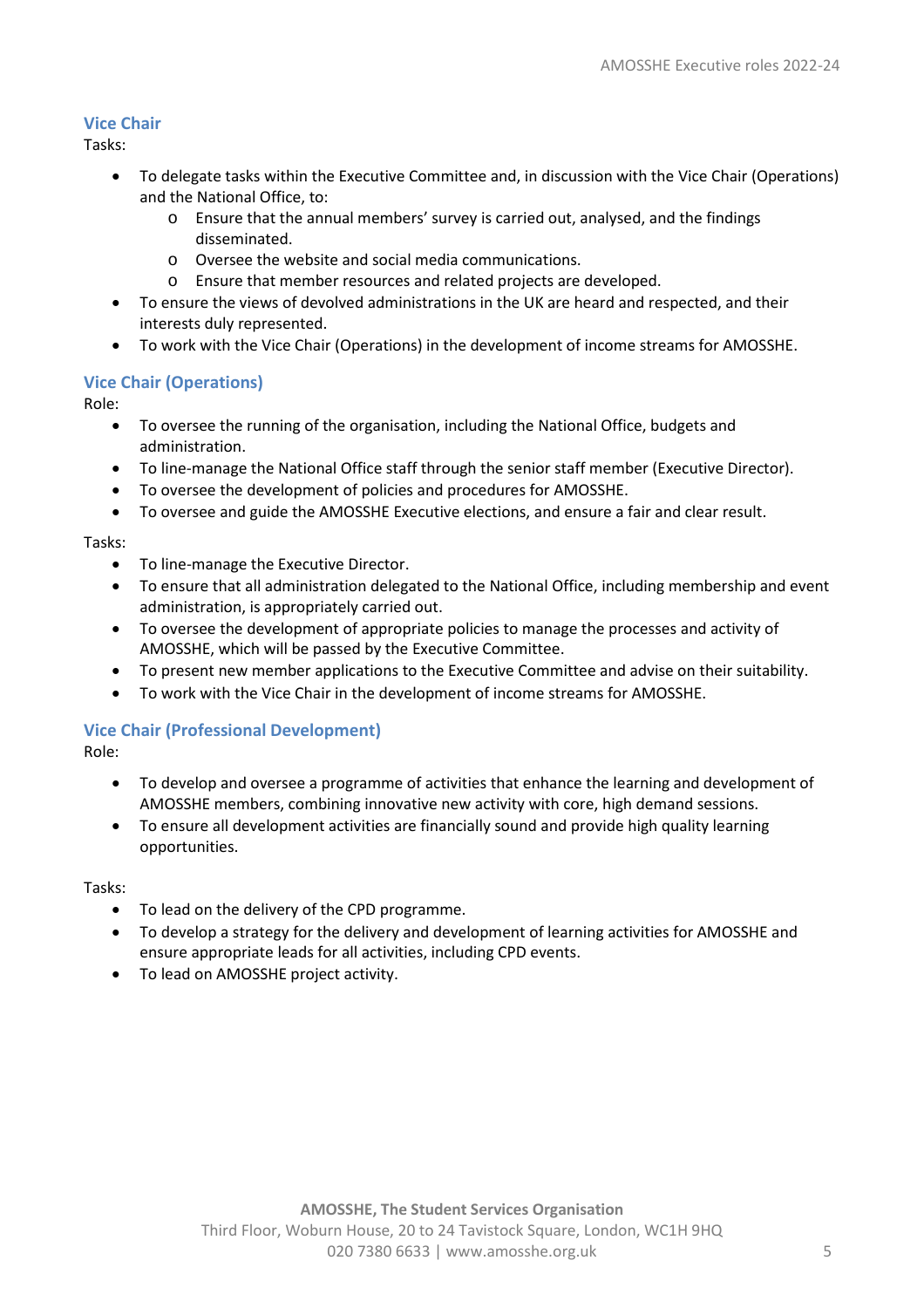#### **Vice Chair**

Tasks:

- To delegate tasks within the Executive Committee and, in discussion with the Vice Chair (Operations) and the National Office, to:
	- o Ensure that the annual members' survey is carried out, analysed, and the findings disseminated.
	- o Oversee the website and social media communications.
	- o Ensure that member resources and related projects are developed.
- To ensure the views of devolved administrations in the UK are heard and respected, and their interests duly represented.
- To work with the Vice Chair (Operations) in the development of income streams for AMOSSHE.

#### **Vice Chair (Operations)**

Role:

- To oversee the running of the organisation, including the National Office, budgets and administration.
- To line-manage the National Office staff through the senior staff member (Executive Director).
- To oversee the development of policies and procedures for AMOSSHE.
- To oversee and guide the AMOSSHE Executive elections, and ensure a fair and clear result.

Tasks:

- To line-manage the Executive Director.
- To ensure that all administration delegated to the National Office, including membership and event administration, is appropriately carried out.
- To oversee the development of appropriate policies to manage the processes and activity of AMOSSHE, which will be passed by the Executive Committee.
- To present new member applications to the Executive Committee and advise on their suitability.
- To work with the Vice Chair in the development of income streams for AMOSSHE.

#### **Vice Chair (Professional Development)**

Role:

- To develop and oversee a programme of activities that enhance the learning and development of AMOSSHE members, combining innovative new activity with core, high demand sessions.
- To ensure all development activities are financially sound and provide high quality learning opportunities.

Tasks:

- To lead on the delivery of the CPD programme.
- To develop a strategy for the delivery and development of learning activities for AMOSSHE and ensure appropriate leads for all activities, including CPD events.
- To lead on AMOSSHE project activity.